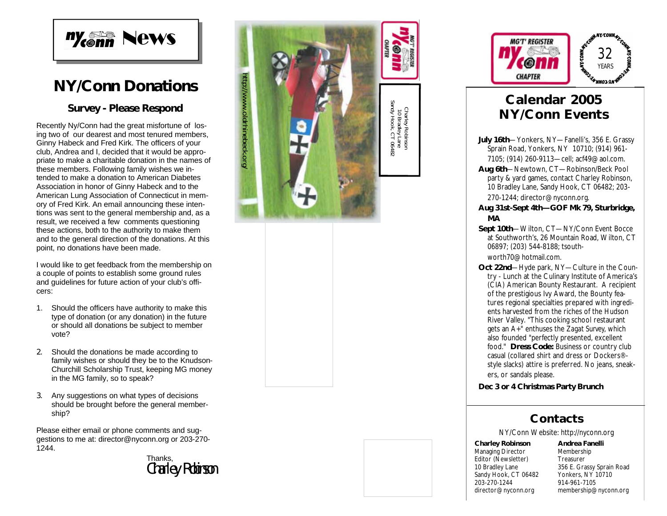

## **NY/Conn Donations**

#### **Survey - Please Respond**

Recently Ny/Conn had the great misfortune of losing two of our dearest and most tenured members, Ginny Habeck and Fred Kirk. The officers of your club, Andrea and I, decided that it would be appropriate to make a charitable donation in the names of these members. Following family wishes we intended to make a donation to American Diabetes Association in honor of Ginny Habeck and to the American Lung Association of Connecticut in memory of Fred Kirk. An email announcing these intentions was sent to the general membership and, as a result, we received a few comments questioning these actions, both to the authority to make them and to the general direction of the donations. At this point, no donations have been made.

I would like to get feedback from the membership on a couple of points to establish some ground rules and guidelines for future action of your club's officers:

- 1. Should the officers have authority to make this type of donation (or any donation) in the future or should all donations be subject to member vote?
- 2. Should the donations be made according to family wishes or should they be to the Knudson - Churchill Scholarship Trust, keeping MG money in the MG family, so to speak?
- 3. Any suggestions on what types of decisions should be brought before the general membership?

Please either email or phone comments and suggestions to me at: director@nyconn.org or 203-270 - 1244.

#### Charley Robinson Thanks,





## **Calendar 2005 NY/Conn Events**

- July 16th—Yonkers, NY—Fanelli's, 356 E. Grassy Sprain Road, Yonkers, NY 10710; (914) 961 - 7105; (914) 260 -9113 —cell; acf49@aol.com.
- **Aug 6th** —Newtown, CT —Robinson/Beck Pool party & yard games, contact Charley Robinson, 10 Bradley Lane, Sandy Hook, CT 06482; 203 - 270 -1244; director@nyconn.org.
- **Aug 31st -Sept 4th —GOF Mk 79, Sturbridge, MA**
- Sept 10th-Wilton, CT-NY/Conn Event Bocce at Southworth's, 26 Mountain Road, Wilton, CT 06897; (203) 544 -8188; tsouthworth70@hotmail.com.
- Oct 22nd-Hyde park, NY-Culture in the Country - Lunch at the Culinary Institute of America's (CIA) American Bounty Restaurant. A recipient of the prestigious Ivy Award, the Bounty features regional specialties prepared with ingredients harvested from the riches of the Hudson River Valley. "This cooking school restaurant gets an A+" enthuses the *Zagat Survey*, which also founded "perfectly presented, excellent food." **Dress Code:** Business or country club casual (collared shirt and dress or Dockers® style slacks) attire is preferred. No jeans, sneakers, or sandals please.

**Dec 3 or 4 Christmas Party Brunch**

#### **Contacts**

NY/Conn Website: http://nyconn.org

**Charley Robinson** Managing Director Editor (Newsletter) 10 Bradley Lane Sandy Hook, CT 06482 203 -270 -1244 director@nyconn.org

**Andrea Fanelli** Membership Treasurer 356 E. Grassy Sprain Road Yonkers, NY 10710 914 -961 -7105 membership@nyconn.org